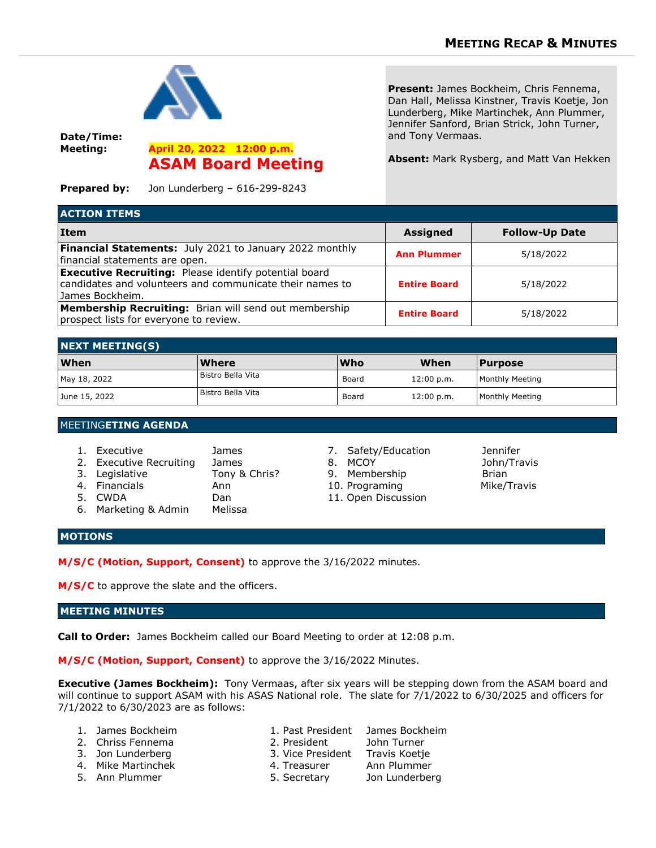

**Date/Time: Meeting: April 20, 2022 12:00 p.m.**

**ASAM Board Meeting**

**Present:** James Bockheim, Chris Fennema, Dan Hall, Melissa Kinstner, Travis Koetje, Jon Lunderberg, Mike Martinchek, Ann Plummer, Jennifer Sanford, Brian Strick, John Turner, and Tony Vermaas.

**Absent:** Mark Rysberg, and Matt Van Hekken

**Prepared by:** Jon Lunderberg – 616-299-8243

| <b>ACTION ITEMS</b>                                                                                                                          |                     |                       |  |  |  |
|----------------------------------------------------------------------------------------------------------------------------------------------|---------------------|-----------------------|--|--|--|
| <b>Item</b>                                                                                                                                  | <b>Assigned</b>     | <b>Follow-Up Date</b> |  |  |  |
| Financial Statements: July 2021 to January 2022 monthly<br>financial statements are open.                                                    | <b>Ann Plummer</b>  | 5/18/2022             |  |  |  |
| <b>Executive Recruiting:</b> Please identify potential board<br>candidates and volunteers and communicate their names to<br>IJames Bockheim. | <b>Entire Board</b> | 5/18/2022             |  |  |  |
| <b>Membership Recruiting:</b> Brian will send out membership<br>prospect lists for everyone to review.                                       | <b>Entire Board</b> | 5/18/2022             |  |  |  |

| <b>NEXT MEETING(S)</b> |                   |            |            |                        |  |  |
|------------------------|-------------------|------------|------------|------------------------|--|--|
| <b>When</b>            | Where             | <b>Who</b> | When       | <b>Purpose</b>         |  |  |
| May 18, 2022           | Bistro Bella Vita | Board      | 12:00 p.m. | <b>Monthly Meeting</b> |  |  |
| June 15, 2022          | Bistro Bella Vita | Board      | 12:00 p.m. | <b>Monthly Meeting</b> |  |  |

### MEETING**ETING AGENDA**

| 1. Executive<br>2. Executive Recruiting<br>3. Legislative<br>4. Financials<br>5. CWDA | <b>James</b><br>James<br>Tony & Chris?<br>Ann<br>Dan | 7. Safety/Education<br>8. MCOY<br>9. Membership<br>10. Programing<br>11. Open Discussion | <b>Jennifer</b><br>John/Travis<br>Brian<br>Mike/Travis |
|---------------------------------------------------------------------------------------|------------------------------------------------------|------------------------------------------------------------------------------------------|--------------------------------------------------------|
| 6. Marketing & Admin                                                                  | Melissa                                              |                                                                                          |                                                        |

- 
- 
- 
- 
- 

# **MOTIONS**

**M/S/C (Motion, Support, Consent)** to approve the 3/16/2022 minutes.

M/S/C to approve the slate and the officers.

# **MEETING MINUTES**

**Call to Order:** James Bockheim called our Board Meeting to order at 12:08 p.m.

**M/S/C (Motion, Support, Consent)** to approve the 3/16/2022 Minutes.

**Executive (James Bockheim):** Tony Vermaas, after six years will be stepping down from the ASAM board and will continue to support ASAM with his ASAS National role. The slate for 7/1/2022 to 6/30/2025 and officers for 7/1/2022 to 6/30/2023 are as follows:

- 
- 2. Chriss Fennema 2. President John Turner
- 3. Jon Lunderberg 3. Vice President Travis Koetje
- 4. Mike Martinchek 4. Treasurer Ann Plummer
- 
- 1. James Bockheim 1. Past President James Bockheim
	-
	-
	-
	-
- 
- 
- 5. Ann Plummer 5. Secretary Jon Lunderberg